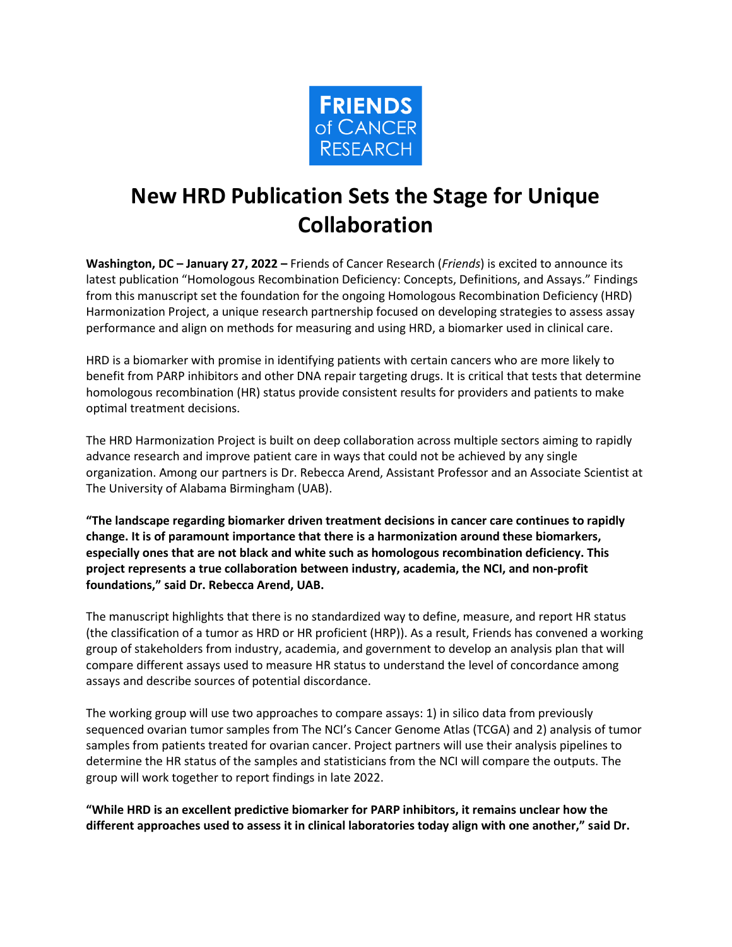

# **New HRD Publication Sets the Stage for Unique Collaboration**

**Washington, DC – January 27, 2022 –** Friends of Cancer Research (*Friends*) is excited to announce its latest publication "Homologous Recombination Deficiency: Concepts, Definitions, and Assays." Findings from this manuscript set the foundation for the ongoing Homologous Recombination Deficiency (HRD) Harmonization Project, a unique research partnership focused on developing strategies to assess assay performance and align on methods for measuring and using HRD, a biomarker used in clinical care.

HRD is a biomarker with promise in identifying patients with certain cancers who are more likely to benefit from PARP inhibitors and other DNA repair targeting drugs. It is critical that tests that determine homologous recombination (HR) status provide consistent results for providers and patients to make optimal treatment decisions.

The HRD Harmonization Project is built on deep collaboration across multiple sectors aiming to rapidly advance research and improve patient care in ways that could not be achieved by any single organization. Among our partners is Dr. Rebecca Arend, Assistant Professor and an Associate Scientist at The University of Alabama Birmingham (UAB).

**"The landscape regarding biomarker driven treatment decisions in cancer care continues to rapidly change. It is of paramount importance that there is a harmonization around these biomarkers, especially ones that are not black and white such as homologous recombination deficiency. This project represents a true collaboration between industry, academia, the NCI, and non-profit foundations," said Dr. Rebecca Arend, UAB.**

The manuscript highlights that there is no standardized way to define, measure, and report HR status (the classification of a tumor as HRD or HR proficient (HRP)). As a result, Friends has convened a working group of stakeholders from industry, academia, and government to develop an analysis plan that will compare different assays used to measure HR status to understand the level of concordance among assays and describe sources of potential discordance.

The working group will use two approaches to compare assays: 1) in silico data from previously sequenced ovarian tumor samples from The NCI's Cancer Genome Atlas (TCGA) and 2) analysis of tumor samples from patients treated for ovarian cancer. Project partners will use their analysis pipelines to determine the HR status of the samples and statisticians from the NCI will compare the outputs. The group will work together to report findings in late 2022.

**"While HRD is an excellent predictive biomarker for PARP inhibitors, it remains unclear how the different approaches used to assess it in clinical laboratories today align with one another," said Dr.**